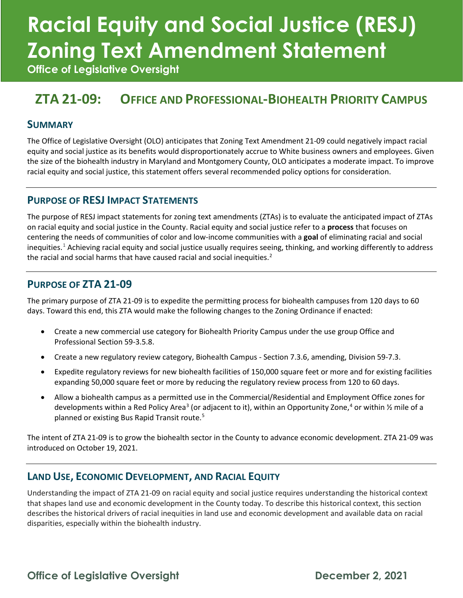# **Racial Equity and Social Justice (RESJ) Zoning Text Amendment Statement**

**Office of Legislative Oversight**

### **ZTA 21-09: OFFICE AND PROFESSIONAL-BIOHEALTH PRIORITY CAMPUS**

#### **SUMMARY**

The Office of Legislative Oversight (OLO) anticipates that Zoning Text Amendment 21-09 could negatively impact racial equity and social justice as its benefits would disproportionately accrue to White business owners and employees. Given the size of the biohealth industry in Maryland and Montgomery County, OLO anticipates a moderate impact. To improve racial equity and social justice, this statement offers several recommended policy options for consideration.

#### **PURPOSE OF RESJ IMPACT STATEMENTS**

The purpose of RESJ impact statements for zoning text amendments (ZTAs) is to evaluate the anticipated impact of ZTAs on racial equity and social justice in the County. Racial equity and social justice refer to a **process** that focuses on centering the needs of communities of color and low-income communities with a **goal** of eliminating racial and social inequities.<sup>[1](#page-5-0)</sup> Achieving racial equity and social justice usually requires seeing, thinking, and working differently to address the racial and social harms that have caused racial and social inequities. $2$ 

#### **PURPOSE OF ZTA 21-09**

The primary purpose of ZTA 21-09 is to expedite the permitting process for biohealth campuses from 120 days to 60 days. Toward this end, this ZTA would make the following changes to the Zoning Ordinance if enacted:

- Create a new commercial use category for Biohealth Priority Campus under the use group Office and Professional Section 59-3.5.8.
- Create a new regulatory review category, Biohealth Campus Section 7.3.6, amending, Division 59-7.3.
- Expedite regulatory reviews for new biohealth facilities of 150,000 square feet or more and for existing facilities expanding 50,000 square feet or more by reducing the regulatory review process from 120 to 60 days.
- Allow a biohealth campus as a permitted use in the Commercial/Residential and Employment Office zones for developments within a Red Policy Area<sup>3</sup> (or adjacent to it), within an Opportunity Zone,<sup>[4](#page-5-3)</sup> or within 1/2 mile of a planned or existing Bus Rapid Transit route.<sup>[5](#page-5-4)</sup>

The intent of ZTA 21-09 is to grow the biohealth sector in the County to advance economic development. ZTA 21-09 was introduced on October 19, 2021.

#### **LAND USE, ECONOMIC DEVELOPMENT, AND RACIAL EQUITY**

Understanding the impact of ZTA 21-09 on racial equity and social justice requires understanding the historical context that shapes land use and economic development in the County today. To describe this historical context, this section describes the historical drivers of racial inequities in land use and economic development and available data on racial disparities, especially within the biohealth industry.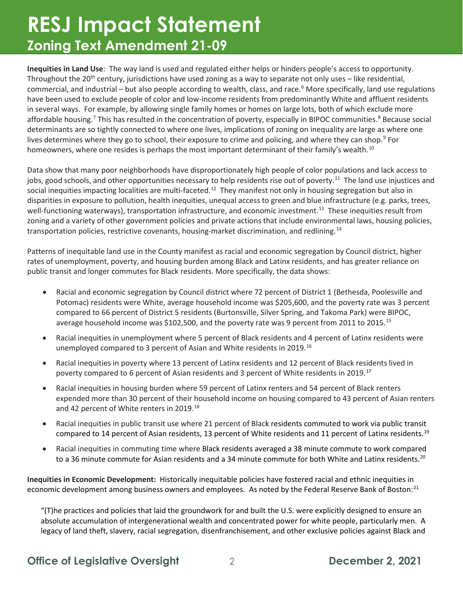**Inequities in Land Use**: The way land is used and regulated either helps or hinders people's access to opportunity. Throughout the 20<sup>th</sup> century, jurisdictions have used zoning as a way to separate not only uses – like residential, commercial, and industrial – but also people according to wealth, class, and race.<sup>[6](#page-5-5)</sup> More specifically, land use regulations have been used to exclude people of color and low-income residents from predominantly White and affluent residents in several ways. For example, by allowing single family homes or homes on large lots, both of which exclude more affordable housing.<sup>[7](#page-5-6)</sup> This has resulted in the concentration of poverty, especially in BIPOC communities.<sup>[8](#page-5-7)</sup> Because social determinants are so tightly connected to where one lives, implications of zoning on inequality are large as where one lives determines where they go to school, their exposure to crime and policing, and where they can shop.<sup>[9](#page-5-8)</sup> For homeowners, where one resides is perhaps the most important determinant of their family's wealth.<sup>[10](#page-5-9)</sup>

Data show that many poor neighborhoods have disproportionately high people of color populations and lack access to jobs, good schools, and other opportunities necessary to help residents rise out of poverty.<sup>11</sup> The land use injustices and social inequities impacting localities are multi-faceted.<sup>[12](#page-5-11)</sup> They manifest not only in housing segregation but also in disparities in exposure to pollution, health inequities, unequal access to green and blue infrastructure (e.g. parks, trees, well-functioning waterways), transportation infrastructure, and economic investment.<sup>13</sup> These inequities result from zoning and a variety of other government policies and private actions that include environmental laws, housing policies, transportation policies, restrictive covenants, housing-market discrimination, and redlining.<sup>[14](#page-5-13)</sup>

Patterns of inequitable land use in the County manifest as racial and economic segregation by Council district, higher rates of unemployment, poverty, and housing burden among Black and Latinx residents, and has greater reliance on public transit and longer commutes for Black residents. More specifically, the data shows:

- Racial and economic segregation by Council district where 72 percent of District 1 (Bethesda, Poolesville and Potomac) residents were White, average household income was \$205,600, and the poverty rate was 3 percent compared to 66 percent of District 5 residents (Burtonsville, Silver Spring, and Takoma Park) were BIPOC, average household income was \$102,500, and the poverty rate was 9 percent from 2011 to 20[15](#page-5-14).<sup>15</sup>
- Racial inequities in unemployment where 5 percent of Black residents and 4 percent of Latinx residents were unemployed compared to 3 percent of Asian and White residents in 2019.[16](#page-5-15)
- Racial inequities in poverty where 13 percent of Latinx residents and 12 percent of Black residents lived in poverty compared to 6 percent of Asian residents and 3 percent of White residents in 2019.<sup>[17](#page-5-16)</sup>
- Racial inequities in housing burden where 59 percent of Latinx renters and 54 percent of Black renters expended more than 30 percent of their household income on housing compared to 43 percent of Asian renters and 42 percent of White renters in 2019.<sup>[18](#page-5-17)</sup>
- Racial inequities in public transit use where 21 percent of Black residents commuted to work via public transit compared to 14 percent of Asian residents, 13 percent of White residents and 11 percent of Latinx residents.<sup>[19](#page-5-18)</sup>
- Racial inequities in commuting time where Black residents averaged a 38 minute commute to work compared to a 36 minute commute for Asian residents and a 34 minute commute for both White and Latinx residents.<sup>[20](#page-5-19)</sup>

**Inequities in Economic Development:** Historically inequitable policies have fostered racial and ethnic inequities in economic development among business owners and employees. As noted by the Federal Reserve Bank of Boston:<sup>[21](#page-6-0)</sup>

"(T)he practices and policies that laid the groundwork for and built the U.S. were explicitly designed to ensure an absolute accumulation of intergenerational wealth and concentrated power for white people, particularly men. A legacy of land theft, slavery, racial segregation, disenfranchisement, and other exclusive policies against Black and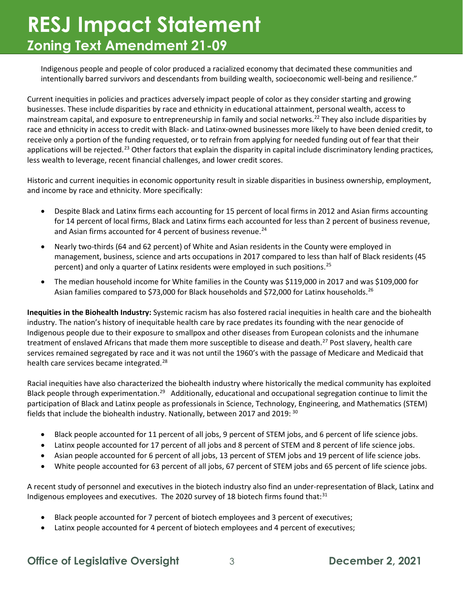Indigenous people and people of color produced a racialized economy that decimated these communities and intentionally barred survivors and descendants from building wealth, socioeconomic well-being and resilience."

Current inequities in policies and practices adversely impact people of color as they consider starting and growing businesses. These include disparities by race and ethnicity in educational attainment, personal wealth, access to mainstream capital, and exposure to entrepreneurship in family and social networks.<sup>[22](#page-6-1)</sup> They also include disparities by race and ethnicity in access to credit with Black- and Latinx-owned businesses more likely to have been denied credit, to receive only a portion of the funding requested, or to refrain from applying for needed funding out of fear that their applications will be rejected.<sup>[23](#page-6-2)</sup> Other factors that explain the disparity in capital include discriminatory lending practices, less wealth to leverage, recent financial challenges, and lower credit scores.

Historic and current inequities in economic opportunity result in sizable disparities in business ownership, employment, and income by race and ethnicity. More specifically:

- Despite Black and Latinx firms each accounting for 15 percent of local firms in 2012 and Asian firms accounting for 14 percent of local firms, Black and Latinx firms each accounted for less than 2 percent of business revenue, and Asian firms accounted for 4 percent of business revenue.<sup>[24](#page-6-3)</sup>
- Nearly two-thirds (64 and 62 percent) of White and Asian residents in the County were employed in management, business, science and arts occupations in 2017 compared to less than half of Black residents (45 percent) and only a quarter of Latinx residents were employed in such positions.<sup>25</sup>
- The median household income for White families in the County was \$119,000 in 2017 and was \$109,000 for Asian families compared to \$73,000 for Black households and \$72,000 for Latinx households.<sup>[26](#page-6-5)</sup>

**Inequities in the Biohealth Industry:** Systemic racism has also fostered racial inequities in health care and the biohealth industry. The nation's history of inequitable health care by race predates its founding with the near genocide of Indigenous people due to their exposure to smallpox and other diseases from European colonists and the inhumane treatment of enslaved Africans that made them more susceptible to disease and death.<sup>[27](#page-6-6)</sup> Post slavery, health care services remained segregated by race and it was not until the 1960's with the passage of Medicare and Medicaid that health care services became integrated.<sup>[28](#page-6-7)</sup>

Racial inequities have also characterized the biohealth industry where historically the medical community has exploited Black people through experimentation.<sup>[29](#page-6-8)</sup> Additionally, educational and occupational segregation continue to limit the participation of Black and Latinx people as professionals in Science, Technology, Engineering, and Mathematics (STEM) fields that include the biohealth industry. Nationally, between 2017 and 2019: [30](#page-6-9)

- Black people accounted for 11 percent of all jobs, 9 percent of STEM jobs, and 6 percent of life science jobs.
- Latinx people accounted for 17 percent of all jobs and 8 percent of STEM and 8 percent of life science jobs.
- Asian people accounted for 6 percent of all jobs, 13 percent of STEM jobs and 19 percent of life science jobs.
- White people accounted for 63 percent of all jobs, 67 percent of STEM jobs and 65 percent of life science jobs.

A recent study of personnel and executives in the biotech industry also find an under-representation of Black, Latinx and Indigenous employees and executives. The 2020 survey of 18 biotech firms found that: $31$ 

- Black people accounted for 7 percent of biotech employees and 3 percent of executives;
- Latinx people accounted for 4 percent of biotech employees and 4 percent of executives;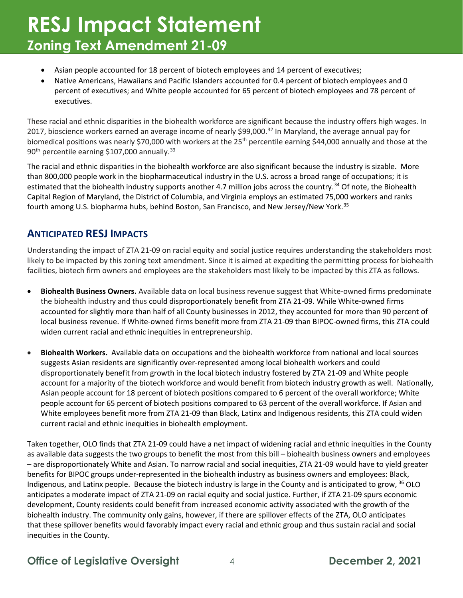- Asian people accounted for 18 percent of biotech employees and 14 percent of executives;
- Native Americans, Hawaiians and Pacific Islanders accounted for 0.4 percent of biotech employees and 0 percent of executives; and White people accounted for 65 percent of biotech employees and 78 percent of executives.

These racial and ethnic disparities in the biohealth workforce are significant because the industry offers high wages. In 2017, bioscience workers earned an average income of nearly \$99,000.[32](#page-6-11) In Maryland, the average annual pay for biomedical positions was nearly \$70,000 with workers at the  $25<sup>th</sup>$  percentile earning \$44,000 annually and those at the  $90<sup>th</sup>$  percentile earning \$107,000 annually.<sup>[33](#page-6-12)</sup>

The racial and ethnic disparities in the biohealth workforce are also significant because the industry is sizable. More than 800,000 people work in the biopharmaceutical industry in the U.S. across a broad range of occupations; it is estimated that the biohealth industry supports another 4.7 million jobs across the country.<sup>[34](#page-6-13)</sup> Of note, the Biohealth Capital Region of Maryland, the District of Columbia, and Virginia employs an estimated 75,000 workers and ranks fourth among U.S. biopharma hubs, behind Boston, San Francisco, and New Jersey/New York.<sup>[35](#page-6-14)</sup>

#### **ANTICIPATED RESJ IMPACTS**

Understanding the impact of ZTA 21-09 on racial equity and social justice requires understanding the stakeholders most likely to be impacted by this zoning text amendment. Since it is aimed at expediting the permitting process for biohealth facilities, biotech firm owners and employees are the stakeholders most likely to be impacted by this ZTA as follows.

- **Biohealth Business Owners.** Available data on local business revenue suggest that White-owned firms predominate the biohealth industry and thus could disproportionately benefit from ZTA 21-09. While White-owned firms accounted for slightly more than half of all County businesses in 2012, they accounted for more than 90 percent of local business revenue. If White-owned firms benefit more from ZTA 21-09 than BIPOC-owned firms, this ZTA could widen current racial and ethnic inequities in entrepreneurship.
- **Biohealth Workers.**Available data on occupations and the biohealth workforce from national and local sources suggests Asian residents are significantly over-represented among local biohealth workers and could disproportionately benefit from growth in the local biotech industry fostered by ZTA 21-09 and White people account for a majority of the biotech workforce and would benefit from biotech industry growth as well. Nationally, Asian people account for 18 percent of biotech positions compared to 6 percent of the overall workforce; White people account for 65 percent of biotech positions compared to 63 percent of the overall workforce. If Asian and White employees benefit more from ZTA 21-09 than Black, Latinx and Indigenous residents, this ZTA could widen current racial and ethnic inequities in biohealth employment.

Taken together, OLO finds that ZTA 21-09 could have a net impact of widening racial and ethnic inequities in the County as available data suggests the two groups to benefit the most from this bill – biohealth business owners and employees – are disproportionately White and Asian. To narrow racial and social inequities, ZTA 21-09 would have to yield greater benefits for BIPOC groups under-represented in the biohealth industry as business owners and employees: Black, Indigenous, and Latinx people. Because the biotech industry is large in the County and is anticipated to grow, <sup>[36](#page-6-15)</sup> OLO anticipates a moderate impact of ZTA 21-09 on racial equity and social justice. Further, if ZTA 21-09 spurs economic development, County residents could benefit from increased economic activity associated with the growth of the biohealth industry. The community only gains, however, if there are spillover effects of the ZTA, OLO anticipates that these spillover benefits would favorably impact every racial and ethnic group and thus sustain racial and social inequities in the County.

#### **Office of Legislative Oversight** 4 **December 2, 2021**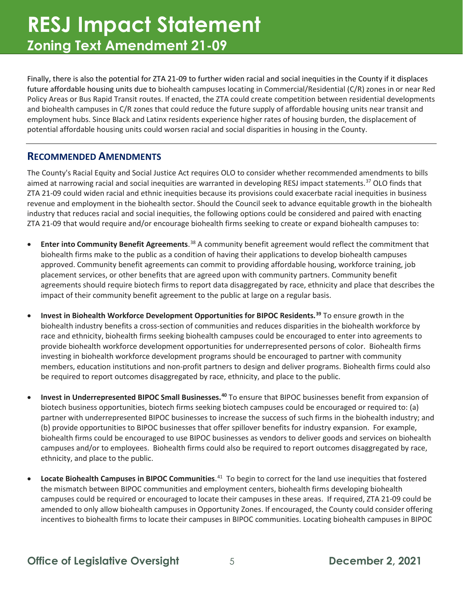Finally, there is also the potential for ZTA 21-09 to further widen racial and social inequities in the County if it displaces future affordable housing units due to biohealth campuses locating in Commercial/Residential (C/R) zones in or near Red Policy Areas or Bus Rapid Transit routes. If enacted, the ZTA could create competition between residential developments and biohealth campuses in C/R zones that could reduce the future supply of affordable housing units near transit and employment hubs. Since Black and Latinx residents experience higher rates of housing burden, the displacement of potential affordable housing units could worsen racial and social disparities in housing in the County.

#### **RECOMMENDED AMENDMENTS**

The County's Racial Equity and Social Justice Act requires OLO to consider whether recommended amendments to bills aimed at narrowing racial and social inequities are warranted in developing RESJ impact statements.<sup>[37](#page-6-16)</sup> OLO finds that ZTA 21-09 could widen racial and ethnic inequities because its provisions could exacerbate racial inequities in business revenue and employment in the biohealth sector. Should the Council seek to advance equitable growth in the biohealth industry that reduces racial and social inequities, the following options could be considered and paired with enacting ZTA 21-09 that would require and/or encourage biohealth firms seeking to create or expand biohealth campuses to:

- **Enter into Community Benefit Agreements**.<sup>[38](#page-6-17)</sup> A community benefit agreement would reflect the commitment that biohealth firms make to the public as a condition of having their applications to develop biohealth campuses approved. Community benefit agreements can commit to providing affordable housing, workforce training, job placement services, or other benefits that are agreed upon with community partners. Community benefit agreements should require biotech firms to report data disaggregated by race, ethnicity and place that describes the impact of their community benefit agreement to the public at large on a regular basis.
- **Invest in Biohealth Workforce Development Opportunities for BIPOC Residents.[39](#page-6-18)** To ensure growth in the biohealth industry benefits a cross-section of communities and reduces disparities in the biohealth workforce by race and ethnicity, biohealth firms seeking biohealth campuses could be encouraged to enter into agreements to provide biohealth workforce development opportunities for underrepresented persons of color. Biohealth firms investing in biohealth workforce development programs should be encouraged to partner with community members, education institutions and non-profit partners to design and deliver programs. Biohealth firms could also be required to report outcomes disaggregated by race, ethnicity, and place to the public.
- **Invest in Underrepresented BIPOC Small Businesses. [40](#page-6-19)** To ensure that BIPOC businesses benefit from expansion of biotech business opportunities, biotech firms seeking biotech campuses could be encouraged or required to: (a) partner with underrepresented BIPOC businesses to increase the success of such firms in the biohealth industry; and (b) provide opportunities to BIPOC businesses that offer spillover benefits for industry expansion. For example, biohealth firms could be encouraged to use BIPOC businesses as vendors to deliver goods and services on biohealth campuses and/or to employees. Biohealth firms could also be required to report outcomes disaggregated by race, ethnicity, and place to the public.
- **Locate Biohealth Campuses in BIPOC Communities**. [41](#page-6-20) To begin to correct for the land use inequities that fostered the mismatch between BIPOC communities and employment centers, biohealth firms developing biohealth campuses could be required or encouraged to locate their campuses in these areas. If required, ZTA 21-09 could be amended to only allow biohealth campuses in Opportunity Zones. If encouraged, the County could consider offering incentives to biohealth firms to locate their campuses in BIPOC communities. Locating biohealth campuses in BIPOC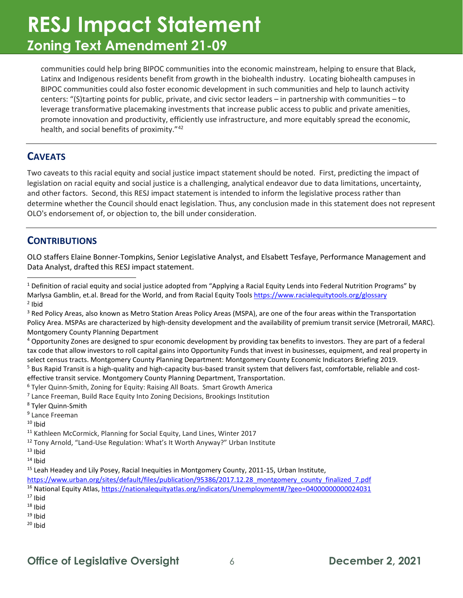communities could help bring BIPOC communities into the economic mainstream, helping to ensure that Black, Latinx and Indigenous residents benefit from growth in the biohealth industry. Locating biohealth campuses in BIPOC communities could also foster economic development in such communities and help to launch activity centers: "(S)tarting points for public, private, and civic sector leaders – in partnership with communities – to leverage transformative placemaking investments that increase public access to public and private amenities, promote innovation and productivity, efficiently use infrastructure, and more equitably spread the economic, health, and social benefits of proximity."[42](#page-6-21) 

#### **CAVEATS**

Two caveats to this racial equity and social justice impact statement should be noted. First, predicting the impact of legislation on racial equity and social justice is a challenging, analytical endeavor due to data limitations, uncertainty, and other factors. Second, this RESJ impact statement is intended to inform the legislative process rather than determine whether the Council should enact legislation. Thus, any conclusion made in this statement does not represent OLO's endorsement of, or objection to, the bill under consideration.

#### **CONTRIBUTIONS**

OLO staffers Elaine Bonner-Tompkins, Senior Legislative Analyst, and Elsabett Tesfaye, Performance Management and Data Analyst, drafted this RESJ impact statement.

<span id="page-5-3"></span><sup>4</sup> Opportunity Zones are designed to spur economic development by providing tax benefits to investors. They are part of a federal tax code that allow investors to roll capital gains into Opportunity Funds that invest in businesses, equipment, and real property in select census tracts. Montgomery County Planning Department: Montgomery County Economic Indicators Briefing 2019.

<span id="page-5-4"></span> $5$  Bus Rapid Transit is a high-quality and high-capacity bus-based transit system that delivers fast, comfortable, reliable and costeffective transit service. Montgomery County Planning Department, Transportation.

<span id="page-5-5"></span><sup>6</sup> Tyler Quinn-Smith, Zoning for Equity: Raising All Boats. Smart Growth America

<span id="page-5-6"></span><sup>7</sup> Lance Freeman, Build Race Equity Into Zoning Decisions, Brookings Institution

<span id="page-5-7"></span><sup>8</sup> Tyler Quinn-Smith

<span id="page-5-8"></span><sup>9</sup> Lance Freeman

<span id="page-5-9"></span> $10$  Ibid

<span id="page-5-12"></span> $13$  Ibid  $14$  Ibid

<span id="page-5-13"></span>

<span id="page-5-14"></span><sup>15</sup> Leah Headey and Lily Posey, Racial Inequities in Montgomery County, 2011-15, Urban Institute,

[https://www.urban.org/sites/default/files/publication/95386/2017.12.28\\_montgomery\\_county\\_finalized\\_7.pdf](https://www.urban.org/sites/default/files/publication/95386/2017.12.28_montgomery_county_finalized_7.pdf)

<span id="page-5-15"></span><sup>16</sup> National Equity Atlas[, https://nationalequityatlas.org/indicators/Unemployment#/?geo=04000000000024031](https://nationalequityatlas.org/indicators/Unemployment#/?geo=04000000000024031)

<span id="page-5-16"></span> $17$  Ibid  $18$  Ibid

<span id="page-5-17"></span>

<span id="page-5-18"></span> $19$  Ibid

<span id="page-5-19"></span> $20$  Ibid

<span id="page-5-0"></span> $1$  Definition of racial equity and social justice adopted from "Applying a Racial Equity Lends into Federal Nutrition Programs" by Marlysa Gamblin, et.al. Bread for the World, and from Racial Equity Tools<https://www.racialequitytools.org/glossary> <sup>2</sup> Ibid

<span id="page-5-2"></span><span id="page-5-1"></span><sup>&</sup>lt;sup>3</sup> Red Policy Areas, also known as Metro Station Areas Policy Areas (MSPA), are one of the four areas within the Transportation Policy Area. MSPAs are characterized by high-density development and the availability of premium transit service (Metrorail, MARC). Montgomery County Planning Department

<span id="page-5-10"></span><sup>11</sup> Kathleen McCormick, Planning for Social Equity, Land Lines, Winter 2017

<span id="page-5-11"></span><sup>&</sup>lt;sup>12</sup> Tony Arnold, "Land-Use Regulation: What's It Worth Anyway?" Urban Institute